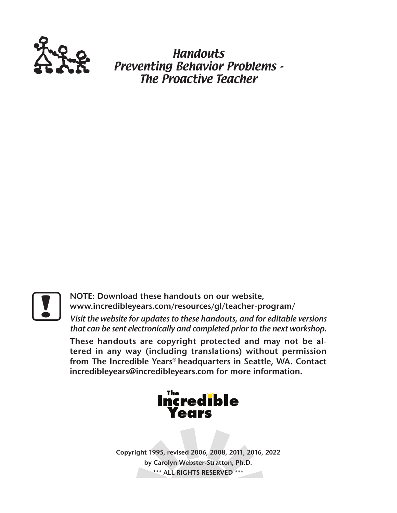

**Handouts** Preventing Behavior Problems - The Proactive Teacher

**Particular Solution State Compositer State Community Community Community Community Community Community Community Community Community Community Community Community Community Community Community Community Community Communit www.incredibleyears.com/resources/gl/teacher-program/** 

*Visit the website for updates to these handouts, and for editable versions that can be sent electronically and completed prior to the next workshop.*

**These handouts are copyright protected and may not be altered in any way (including translations) without permission from The Incredible Years® headquarters in Seattle, WA. Contact incredibleyears@incredibleyears.com for more information.**



**Copyright 1995, revised 2006, 2008, 2011, 2016, 2022 by Carolyn Webster-Stratton, Ph.D. \*\*\* ALL RIGHTS RESERVED \*\*\***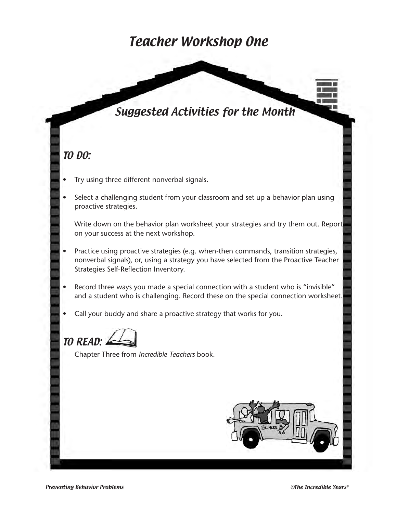### Teacher Workshop One

### Suggested Activities for the Month

#### TO DO:

- Try using three different nonverbal signals.
- Select a challenging student from your classroom and set up a behavior plan using proactive strategies.

Write down on the behavior plan worksheet your strategies and try them out. Report on your success at the next workshop.

- Practice using proactive strategies (e.g. when-then commands, transition strategies, nonverbal signals), or, using a strategy you have selected from the Proactive Teacher Strategies Self-Reflection Inventory.
- Record three ways you made a special connection with a student who is "invisible" and a student who is challenging. Record these on the special connection worksheet.
- Call your buddy and share a proactive strategy that works for you.

TO READ:

Chapter Three from *Incredible Teachers* book.

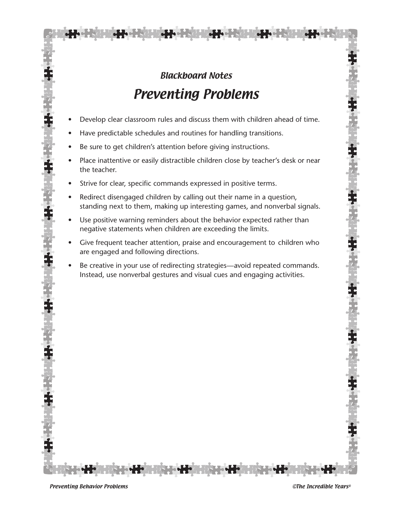# Blackboard Notes Preventing Problems

- Develop clear classroom rules and discuss them with children ahead of time.
- Have predictable schedules and routines for handling transitions.
- Be sure to get children's attention before giving instructions.
- Place inattentive or easily distractible children close by teacher's desk or near the teacher.
- Strive for clear, specific commands expressed in positive terms.
- Redirect disengaged children by calling out their name in a question, standing next to them, making up interesting games, and nonverbal signals.
- Use positive warning reminders about the behavior expected rather than negative statements when children are exceeding the limits.
- Give frequent teacher attention, praise and encouragement to children who are engaged and following directions.
- Be creative in your use of redirecting strategies—avoid repeated commands. Instead, use nonverbal gestures and visual cues and engaging activities.

Preventing Behavior Problems **CERC EXECUTE:**  $\blacksquare$  Preventing Behavior Problems **CERC EXECUTE:**  $\blacksquare$ 

本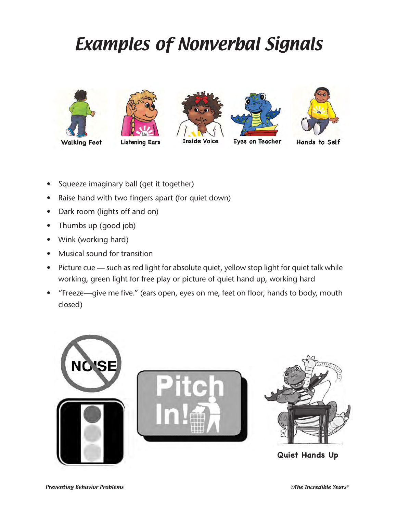# Examples of Nonverbal Signals









Eyes on Teacher



Hands to Self

- Squeeze imaginary ball (get it together)
- Raise hand with two fingers apart (for quiet down)
- Dark room (lights off and on)
- Thumbs up (good job)
- Wink (working hard)
- Musical sound for transition
- Picture cue such as red light for absolute quiet, yellow stop light for quiet talk while working, green light for free play or picture of quiet hand up, working hard
- "Freeze—give me five." (ears open, eyes on me, feet on floor, hands to body, mouth closed)

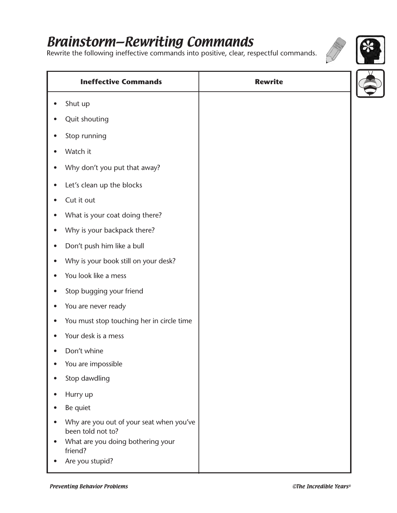# Brainstorm—Rewriting Commands

Rewrite the following ineffective commands into positive, clear, respectful commands.



| <b>Ineffective Commands</b>                                                                                   | <b>Rewrite</b> |  |
|---------------------------------------------------------------------------------------------------------------|----------------|--|
| Shut up                                                                                                       |                |  |
| Quit shouting                                                                                                 |                |  |
| Stop running                                                                                                  |                |  |
| Watch it                                                                                                      |                |  |
| Why don't you put that away?                                                                                  |                |  |
| Let's clean up the blocks                                                                                     |                |  |
| Cut it out                                                                                                    |                |  |
| What is your coat doing there?                                                                                |                |  |
| Why is your backpack there?                                                                                   |                |  |
| Don't push him like a bull                                                                                    |                |  |
| Why is your book still on your desk?                                                                          |                |  |
| You look like a mess                                                                                          |                |  |
| Stop bugging your friend                                                                                      |                |  |
| You are never ready                                                                                           |                |  |
| You must stop touching her in circle time                                                                     |                |  |
| Your desk is a mess                                                                                           |                |  |
| Don't whine                                                                                                   |                |  |
| You are impossible                                                                                            |                |  |
| Stop dawdling                                                                                                 |                |  |
| Hurry up                                                                                                      |                |  |
| Be quiet                                                                                                      |                |  |
| Why are you out of your seat when you've<br>been told not to?<br>What are you doing bothering your<br>friend? |                |  |
| Are you stupid?                                                                                               |                |  |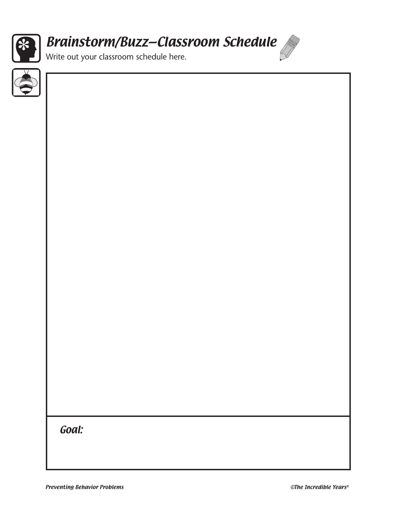

# Brainstorm/Buzz—Classroom Schedule

Write out your classroom schedule here.

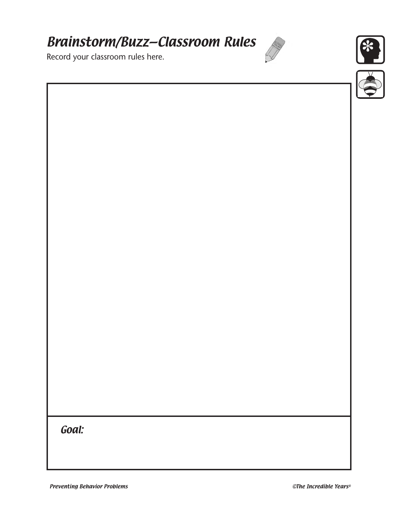# Brainstorm/Buzz—Classroom Rules

Record your classroom rules here.



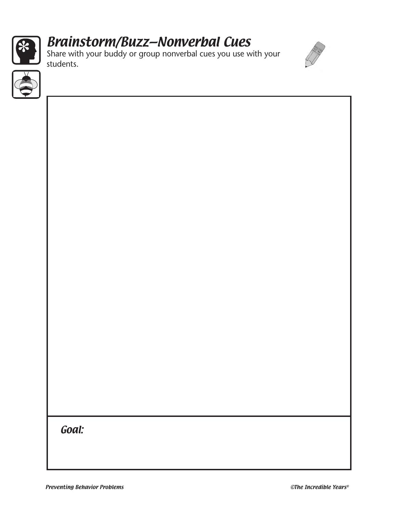

# Brainstorm/Buzz—Nonverbal Cues

Share with your buddy or group nonverbal cues you use with your students.



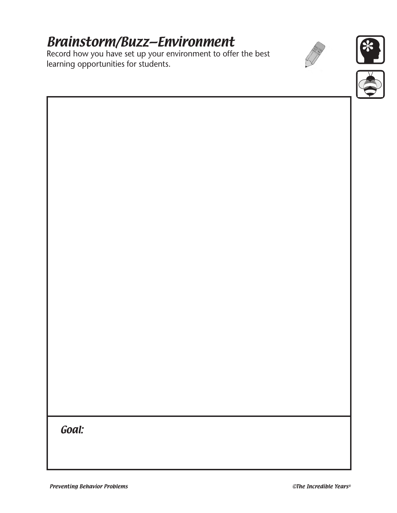# Brainstorm/Buzz—Environment

Record how you have set up your environment to offer the best learning opportunities for students.





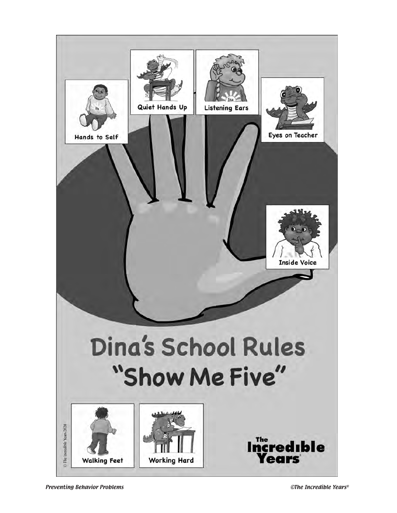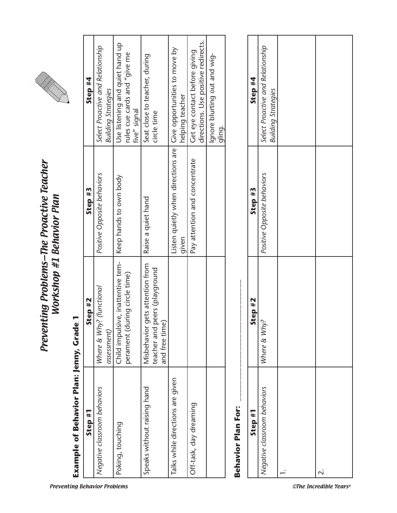

# Preventing Problems–The Proactive Teacher<br>Workshop #1 Behavior Plan Preventing Problems—The Proactive Teacher Workshop #1 Behavior Plan

# Example of Behavior Plan: Jenny, Grade 1 **Example of Behavior Plan: Jenny, Grade 1**

| Step #1                          | Step #2                                                                                 | Step #3                                                                     | Step #4                                                                         |
|----------------------------------|-----------------------------------------------------------------------------------------|-----------------------------------------------------------------------------|---------------------------------------------------------------------------------|
| Negative classroom behaviors     | Where & Why? (functional<br>assessment)                                                 | Positive Opposite behaviors                                                 | Select Proactive and Relationship<br><b>Building Strategies</b>                 |
| Poking, touching                 | Child impulsive, inattentive tem-<br>perament (during circle time)                      | Keep hands to own body                                                      | Use listening and quiet hand up<br>rules cue cards and "give me<br>five" signal |
| Speaks without raising hand      | gets attention from<br>peers (playground<br>and free time<br>Misbehavior<br>teacher and | Raise a quiet hand                                                          | Seat close to teacher, during<br>circle time                                    |
| Talks while directions are given |                                                                                         | Listen quietly when directions are   Give opportunities to move by<br>given | helping teacher                                                                 |
| Off-task, day dreaming           |                                                                                         | Pay attention and concentrate                                               | directions. Use positive redirects.<br>Get eye contact before giving            |
|                                  |                                                                                         |                                                                             | Ignore blurting out and wig-<br>gling.                                          |

# **Behavior Plan For: \_\_\_\_\_\_\_\_\_\_\_\_\_\_\_\_\_\_\_\_\_\_\_\_\_\_\_\_\_ Behavior Plan For:**

| Step #4 | Select Proactive and Relationship<br><b>Building Strategies</b> |   |
|---------|-----------------------------------------------------------------|---|
| Step #3 | Positive Opposite behaviors                                     |   |
| Step #2 | Where & Why?                                                    |   |
| Step #1 | Negative classroom behaviors                                    | j |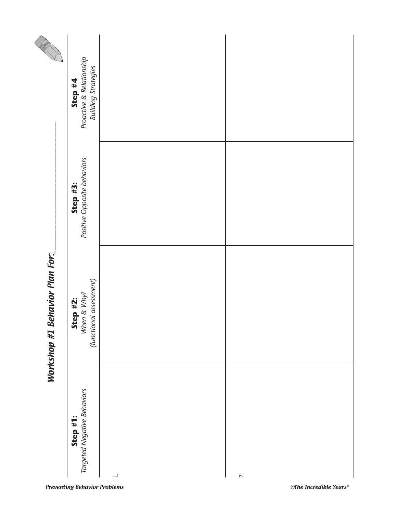|                                | Proactive & Relationship<br><b>Building Strategies</b><br>Step #4 |        |              |
|--------------------------------|-------------------------------------------------------------------|--------|--------------|
|                                | Positive Opposite behaviors<br>Step #3:                           |        |              |
| Workshop #1 Behavior Plan For: | (functional assessment)<br>Step #2:<br>When & Why?                |        |              |
|                                | Step #1:<br>Targeted Negative Behaviors                           | $\div$ | $\dot{\sim}$ |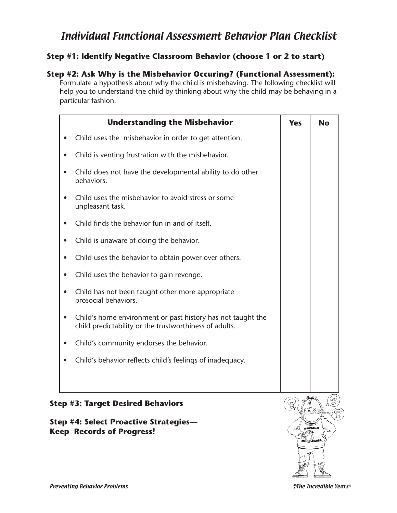#### Individual Functional Assessment Behavior Plan Checklist

#### **Step #1: Identify Negative Classroom Behavior (choose 1 or 2 to start)**

#### **Step #2: Ask Why is the Misbehavior Occuring? (Functional Assessment):**

Formulate a hypothesis about why the child is misbehaving. The following checklist will help you to understand the child by thinking about why the child may be behaving in a particular fashion:

| <b>Understanding the Misbehavior</b>                                                                                  | <b>Yes</b> | <b>No</b> |
|-----------------------------------------------------------------------------------------------------------------------|------------|-----------|
| Child uses the misbehavior in order to get attention.                                                                 |            |           |
| Child is venting frustration with the misbehavior.                                                                    |            |           |
| Child does not have the developmental ability to do other<br>behaviors.                                               |            |           |
| Child uses the misbehavior to avoid stress or some<br>unpleasant task.                                                |            |           |
| Child finds the behavior fun in and of itself.                                                                        |            |           |
| Child is unaware of doing the behavior.                                                                               |            |           |
| Child uses the behavior to obtain power over others.                                                                  |            |           |
| Child uses the behavior to gain revenge.                                                                              |            |           |
| Child has not been taught other more appropriate<br>prosocial behaviors.                                              |            |           |
| Child's home environment or past history has not taught the<br>child predictability or the trustworthiness of adults. |            |           |
| Child's community endorses the behavior.                                                                              |            |           |
| Child's behavior reflects child's feelings of inadequacy.                                                             |            |           |
|                                                                                                                       |            |           |
| <b>Step #3: Target Desired Behaviors</b>                                                                              |            |           |

#### **Step #4: Select Proactive Strategies— Keep Records of Progress!**

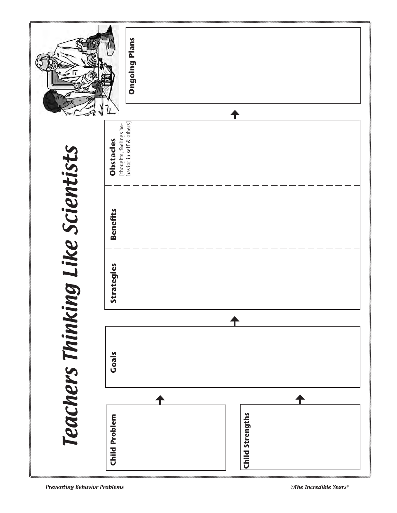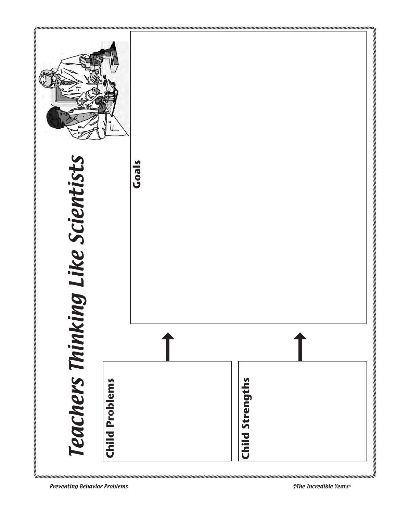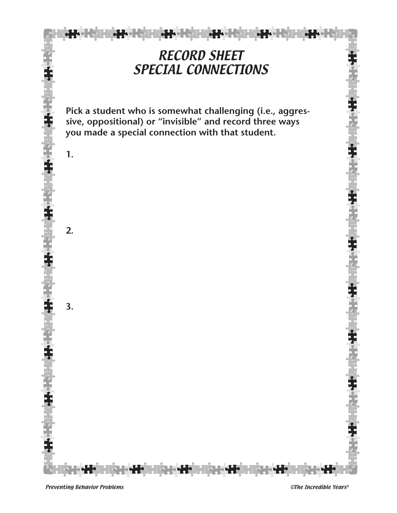

**AND AND** 

**Pick a student who is somewhat challenging (i.e., aggressive, oppositional) or "invisible" and record three ways you made a special connection with that student.**

**HOTE-HOL** 

<u>e de la c</u>

<u> Les pours</u>

**JH** 

**3.**

**1.**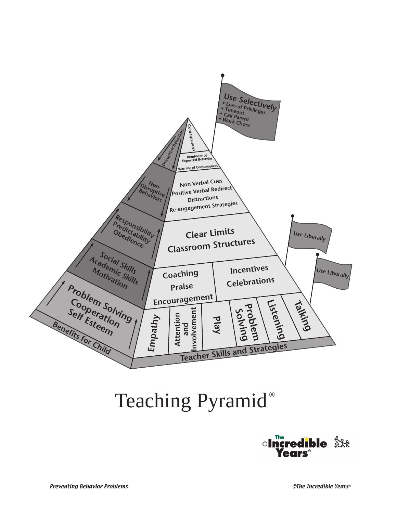

# Teaching Pyramid®

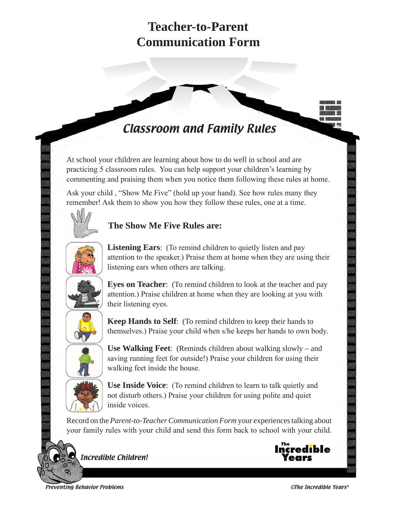# **Teacher-to-Parent Communication Form**

# Classroom and Family Rules

At school your children are learning about how to do well in school and are practicing 5 classroom rules. You can help support your children's learning by commenting and praising them when you notice them following these rules at home.

Ask your child , "Show Me Five" (hold up your hand). See how rules many they remember! Ask them to show you how they follow these rules, one at a time.

#### **The Show Me Five Rules are:**



**Listening Ears**: (To remind children to quietly listen and pay attention to the speaker.) Praise them at home when they are using their listening ears when others are talking.



**Eyes on Teacher**: (To remind children to look at the teacher and pay attention.) Praise children at home when they are looking at you with their listening eyes.



**Keep Hands to Self**: (To remind children to keep their hands to themselves.) Praise your child when s/he keeps her hands to own body.



**Use Walking Feet**: (Reminds children about walking slowly – and saving running feet for outside!) Praise your children for using their walking feet inside the house.



**Use Inside Voice**: (To remind children to learn to talk quietly and not disturb others.) Praise your children for using polite and quiet inside voices.

Record on the *Parent-to-Teacher Communication Form* your experiences talking about your family rules with your child and send this form back to school with your child.





Preventing Behavior Problems ©The Incredible Years®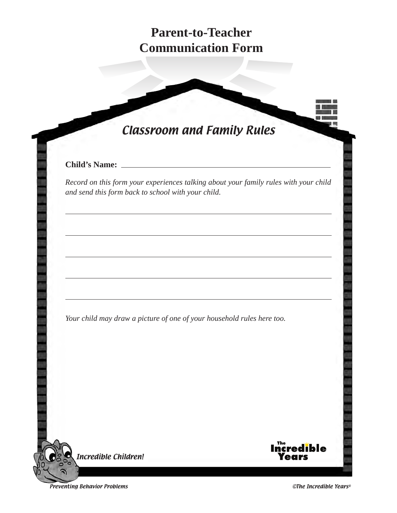# **Parent-to-Teacher Communication Form**

# Classroom and Family Rules

#### **Child's Name:**

*Record on this form your experiences talking about your family rules with your child and send this form back to school with your child.* 

*Your child may draw a picture of one of your household rules here too.*

Incredible Children!



Preventing Behavior Problems ©The Incredible Years®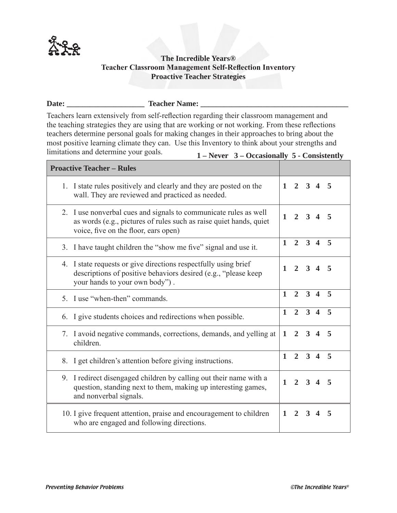

#### **The Incredible Years® Teacher Classroom Management Self-Reflection Inventory Proactive Teacher Strategies**

#### Date: Teacher Name:

Teachers learn extensively from self-reflection regarding their classroom management and the teaching strategies they are using that are working or not working. From these reflections teachers determine personal goals for making changes in their approaches to bring about the most positive learning climate they can. Use this Inventory to think about your strengths and limitations and determine your goals. **1 – Never 3 – Occasionally 5 - Consistently**

| <b>Proactive Teacher - Rules</b>                                                                                                                                               |              |                             |                     |            |                         |
|--------------------------------------------------------------------------------------------------------------------------------------------------------------------------------|--------------|-----------------------------|---------------------|------------|-------------------------|
| 1. I state rules positively and clearly and they are posted on the<br>wall. They are reviewed and practiced as needed.                                                         |              | $1 \quad 2 \quad 3 \quad 4$ |                     |            | 5                       |
| 2. I use nonverbal cues and signals to communicate rules as well<br>as words (e.g., pictures of rules such as raise quiet hands, quiet<br>voice, five on the floor, ears open) | $\mathbf{1}$ | $\mathfrak{D}$              | $\mathbf{3}$        | $\Delta$   | 5                       |
| 3. I have taught children the "show me five" signal and use it.                                                                                                                | $\mathbf{1}$ | $\overline{2}$              |                     | $3\quad 4$ | 5                       |
| 4. I state requests or give directions respectfully using brief<br>descriptions of positive behaviors desired (e.g., "please keep<br>your hands to your own body").            | $\mathbf{1}$ | $2^{\circ}$                 |                     | $3\quad 4$ | 5                       |
| 5. I use "when-then" commands.                                                                                                                                                 | $\mathbf{1}$ | $\overline{2}$              | $3\quad 4$          |            | $\overline{\mathbf{5}}$ |
| 6. I give students choices and redirections when possible.                                                                                                                     | $\mathbf{1}$ |                             | $2 \quad 3 \quad 4$ |            | 5                       |
| 7. I avoid negative commands, corrections, demands, and yelling at<br>children.                                                                                                | $\mathbf{1}$ | $2^{\circ}$                 | $3\quad 4$          |            | 5                       |
| 8. I get children's attention before giving instructions.                                                                                                                      | $\mathbf{1}$ |                             | $2 \quad 3 \quad 4$ |            | 5                       |
| 9. I redirect disengaged children by calling out their name with a<br>question, standing next to them, making up interesting games,<br>and nonverbal signals.                  | $\mathbf{1}$ | $\mathcal{D}_{\alpha}$      |                     | $3\quad 4$ | 5                       |
| 10. I give frequent attention, praise and encouragement to children<br>who are engaged and following directions.                                                               | 1            | $\overline{2}$              |                     | $3\quad 4$ | 5                       |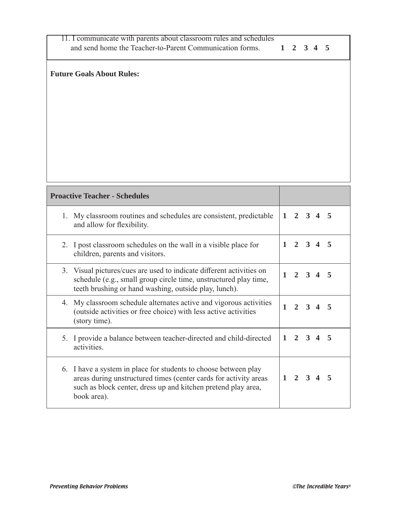| 11. I communicate with parents about classroom rules and schedules |           |  |  |
|--------------------------------------------------------------------|-----------|--|--|
| and send home the Teacher-to-Parent Communication forms.           | 1 2 3 4 5 |  |  |

#### **Future Goals About Rules:**

| <b>Proactive Teacher - Schedules</b>                                                                                                                                                                                |              |                 |                     |                        |    |
|---------------------------------------------------------------------------------------------------------------------------------------------------------------------------------------------------------------------|--------------|-----------------|---------------------|------------------------|----|
| My classroom routines and schedules are consistent, predictable<br>1.<br>and allow for flexibility.                                                                                                                 | $\mathbf{1}$ |                 | $2 \quad 3 \quad 4$ |                        | -5 |
| 2. I post classroom schedules on the wall in a visible place for<br>children, parents and visitors.                                                                                                                 | $\mathbf{1}$ |                 | $2 \quad 3 \quad 4$ |                        | -5 |
| 3. Visual pictures/cues are used to indicate different activities on<br>schedule (e.g., small group circle time, unstructured play time,<br>teeth brushing or hand washing, outside play, lunch).                   | $\mathbf{1}$ |                 |                     | $2 \quad 3 \quad 4$    | -5 |
| My classroom schedule alternates active and vigorous activities<br>4.<br>(outside activities or free choice) with less active activities<br>(story time).                                                           | $\mathbf{1}$ | $\mathbf{2}$    | 3                   | $\boldsymbol{\Lambda}$ | 5  |
| 5. I provide a balance between teacher-directed and child-directed<br>activities.                                                                                                                                   | $\mathbf{1}$ | $\mathbf{2}$    | $\mathbf{3}$        | $\Delta$               | 5  |
| 6. I have a system in place for students to choose between play<br>areas during unstructured times (center cards for activity areas<br>such as block center, dress up and kitchen pretend play area,<br>book area). |              | $1 \t2 \t3 \t4$ |                     |                        |    |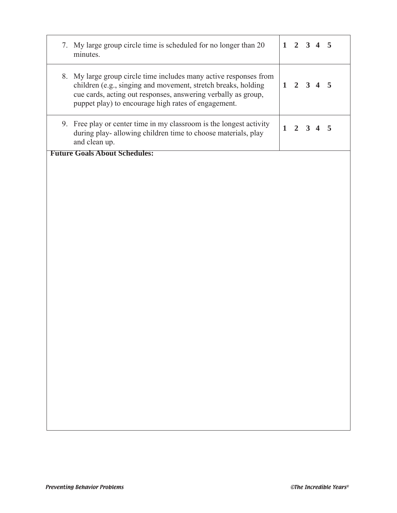| 7. My large group circle time is scheduled for no longer than 20<br>minutes.                                                                                                                                                                               |              | $1 \quad 2 \quad 3 \quad 4$ |                |                       | $-5$ |
|------------------------------------------------------------------------------------------------------------------------------------------------------------------------------------------------------------------------------------------------------------|--------------|-----------------------------|----------------|-----------------------|------|
| 8. My large group circle time includes many active responses from<br>children (e.g., singing and movement, stretch breaks, holding<br>cue cards, acting out responses, answering verbally as group,<br>puppet play) to encourage high rates of engagement. |              | $1 \t2 \t3 \t4 \t5$         |                |                       |      |
| 9. Free play or center time in my classroom is the longest activity<br>during play- allowing children time to choose materials, play<br>and clean up.                                                                                                      | $\mathbf{1}$ | $\overline{2}$              | 3 <sup>1</sup> | $\boldsymbol{\Delta}$ | 5    |
| <b>Future Goals About Schedules:</b>                                                                                                                                                                                                                       |              |                             |                |                       |      |
|                                                                                                                                                                                                                                                            |              |                             |                |                       |      |
|                                                                                                                                                                                                                                                            |              |                             |                |                       |      |
|                                                                                                                                                                                                                                                            |              |                             |                |                       |      |
|                                                                                                                                                                                                                                                            |              |                             |                |                       |      |
|                                                                                                                                                                                                                                                            |              |                             |                |                       |      |
|                                                                                                                                                                                                                                                            |              |                             |                |                       |      |
|                                                                                                                                                                                                                                                            |              |                             |                |                       |      |
|                                                                                                                                                                                                                                                            |              |                             |                |                       |      |
|                                                                                                                                                                                                                                                            |              |                             |                |                       |      |
|                                                                                                                                                                                                                                                            |              |                             |                |                       |      |
|                                                                                                                                                                                                                                                            |              |                             |                |                       |      |
|                                                                                                                                                                                                                                                            |              |                             |                |                       |      |
|                                                                                                                                                                                                                                                            |              |                             |                |                       |      |
|                                                                                                                                                                                                                                                            |              |                             |                |                       |      |
|                                                                                                                                                                                                                                                            |              |                             |                |                       |      |
|                                                                                                                                                                                                                                                            |              |                             |                |                       |      |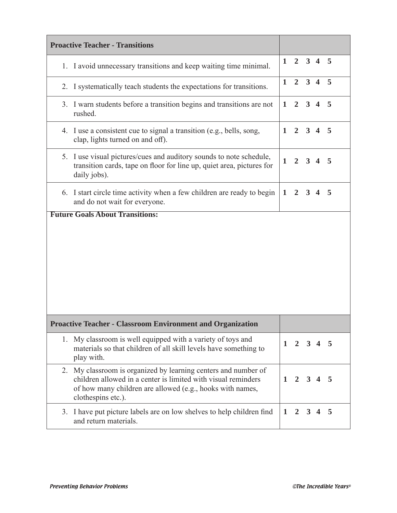| <b>Proactive Teacher - Transitions</b>                                                                                                                                                                                |              |                |                     |                 |      |
|-----------------------------------------------------------------------------------------------------------------------------------------------------------------------------------------------------------------------|--------------|----------------|---------------------|-----------------|------|
| 1. I avoid unnecessary transitions and keep waiting time minimal.                                                                                                                                                     | $\mathbf 1$  |                |                     | $2 \t3 \t4 \t5$ |      |
| I systematically teach students the expectations for transitions.<br>2.                                                                                                                                               | $\mathbf{1}$ | 2 <sup>1</sup> |                     | $3 \t4 \t5$     |      |
| 3. I warn students before a transition begins and transitions are not<br>rushed.                                                                                                                                      | $\mathbf{1}$ | $\overline{2}$ | $3\quad 4$          |                 | $-5$ |
| 4. I use a consistent cue to signal a transition (e.g., bells, song,<br>clap, lights turned on and off).                                                                                                              | 1            |                | $2 \quad 3 \quad 4$ |                 | 5    |
| I use visual pictures/cues and auditory sounds to note schedule,<br>5.<br>transition cards, tape on floor for line up, quiet area, pictures for<br>daily jobs).                                                       | 1            | $\overline{2}$ | 3                   |                 | 5    |
| 6. I start circle time activity when a few children are ready to begin<br>and do not wait for everyone.                                                                                                               | 1            | $\overline{2}$ | $3\quad 4$          |                 | 5    |
|                                                                                                                                                                                                                       |              |                |                     |                 |      |
| <b>Proactive Teacher - Classroom Environment and Organization</b>                                                                                                                                                     |              |                |                     |                 |      |
| My classroom is well equipped with a variety of toys and<br>1.<br>materials so that children of all skill levels have something to<br>play with.                                                                      | 1            | 2              | 3                   |                 | 5    |
| My classroom is organized by learning centers and number of<br>2.<br>children allowed in a center is limited with visual reminders<br>of how many children are allowed (e.g., hooks with names,<br>clothespins etc.). | 1            | $\mathbf{2}$   | $3\quad 4$          |                 | 5    |
| 3. I have put picture labels are on low shelves to help children find<br>and return materials.                                                                                                                        | $\mathbf{1}$ |                | $2 \quad 3 \quad 4$ |                 | 5    |